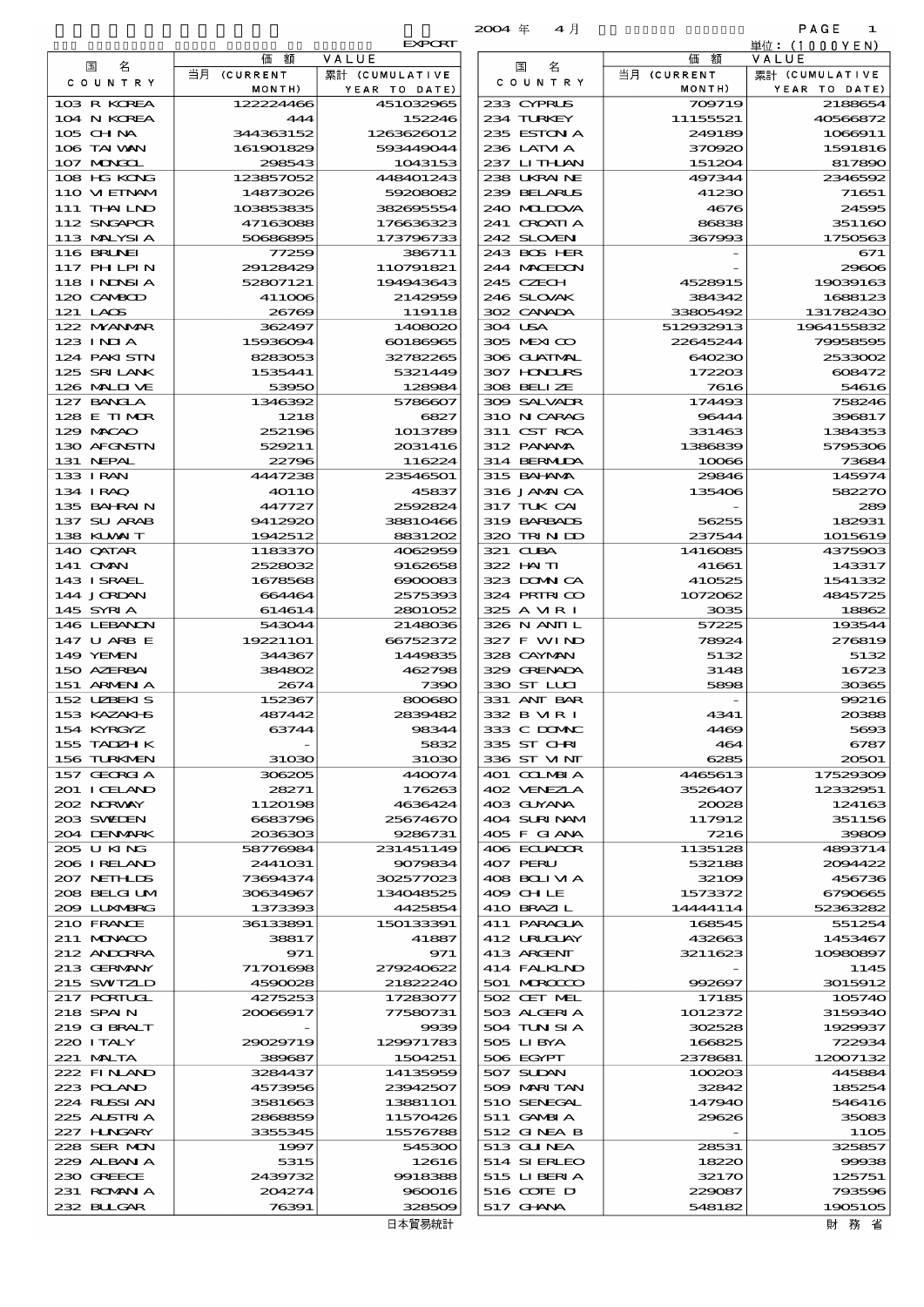$\overline{2004}$   $\overline{4}$   $\overline{4}$   $\overline{1}$   $\overline{1}$   $\overline{1}$   $\overline{1}$   $\overline{1}$   $\overline{1}$   $\overline{1}$   $\overline{1}$   $\overline{1}$   $\overline{1}$   $\overline{1}$   $\overline{1}$   $\overline{1}$   $\overline{1}$   $\overline{1}$   $\overline{1}$   $\overline{1}$   $\overline{1}$   $\overline{1}$   $\overline{1}$   $\overline{1}$   $\$ 

**EXPORT** 

|                             |                      | <b>EXPORT</b>          |                            |                   | 単位:(1000YEN)             |
|-----------------------------|----------------------|------------------------|----------------------------|-------------------|--------------------------|
| 名<br>国                      | 額<br>価               | VALUE                  | 名<br>国                     | 額<br>価            | VALUE                    |
| C O U N T R Y               | 当月 (CURRENT          | 累計 (CUMULATIVE         | C O U N T R Y              | 当月 (CURRENT       | 累計 (CUMULATIVE           |
| 103 R KOREA                 | MONTH)<br>122224466  | YEAR TO DATE)          | 233 CYPRUS                 | MONTH)<br>709719  | YEAR TO DATE)<br>2188654 |
| 104 N KOREA                 | 444                  | 451032965<br>152246    | 234 TURKEY                 | 11155521          | 40566872                 |
| 105 CHNA                    | 344363152            | 1263626012             | 235 ESTON A                | 249189            | 1066911                  |
| 106 TAI WAN                 | 161901829            | 593449044              | 236 LAIM A                 | 370920            | 1591816                  |
| 107 MONGOL                  | 298543               | 1043153                | 237 LITHAN                 | 151204            | 817890                   |
| 108 HG KONG                 | 123857052            | 448401243              | 238 UKRAINE                | 497344            | 2346592                  |
| 110 VIEINAM                 | 14873026             | 59208082               | 239 BELARUS                | 41230             | 71651                    |
| 111 THAILND                 | 103853835            | 382605554              | 240 MIDOVA                 | 4676              | 24595                    |
| 112 SNGAPOR                 | 47163088             | 176636323              | 241 CROATLA                | 86838             | 351160                   |
| 113 MALYSIA                 | 50686895             | 173796733              | 242 SLOVENI                | 367993            | 1750563                  |
| 116 BRUNEI                  | 77259                | 386711                 | 243 BOS HER                |                   | 671                      |
| 117 PHLPIN<br>118 I NDNSI A | 29128429<br>52807121 | 110791821<br>194943643 | 244 MACEDON<br>245 CZECH   |                   | 29606<br>19039163        |
| 120 CAMBOD                  | 411006               | 2142959                | 246 SLOVAK                 | 4528915<br>384342 | 1688123                  |
| 121 LAOS                    | 26769                | 119118                 | 302 CANADA                 | 33805492          | 131782430                |
| 122 MYANAR                  | 362497               | 1408020                | 304 USA                    | 512932913         | 1964155832               |
| $123$ INJA                  | 15936094             | 60186965               | 305 MEXICO                 | 22645244          | 79958595                 |
| 124 PAKISTN                 | 8283053              | 32782265               | 306 GUATMAL                | 640230            | 2533002                  |
| 125 SRILANK                 | 1535441              | 5321449                | 307 HNURS                  | 172203            | 608472                   |
| 126 MAIDIVE                 | 53950                | 128984                 | 308 BELLZE                 | 7616              | 54616                    |
| 127 BANCLA                  | 1346392              | 5786607                | 309 SALVAIR                | 174493            | 758246                   |
| 128 E TIMOR                 | 1218                 | 6827                   | 310 N CARAG                | 96444             | 396817                   |
| 129 MACAO                   | 252196               | 1013789                | 311 CST RCA                | 331463            | 1384353                  |
| 130 AFGNSTN                 | 529211               | 2031416                | 312 PANAMA                 | 1386839           | 5795306                  |
| 131 NEPAL<br>133 I RAN      | 22796<br>4447238     | 116224<br>23546501     | 314 BERMIDA<br>315 BAHAMA  | 10066<br>29846    | 73684<br>145974          |
| 134 IRAQ                    | 4011O                | 45837                  | 316 JAMAICA                | 135406            | 582270                   |
| 135 BAHRAIN                 | 447727               | 2592824                | 317 TUK CAI                |                   | 289                      |
| 137 SU ARAB                 | 9412920              | 38810466               | 319 BARBADS                | 56255             | 182931                   |
| 138 KUWAIT                  | 1942512              | 8831202                | 320 TRINDO                 | 237544            | 1015619                  |
| 140 QATAR                   | 1183370              | 4062959                | 321 CLBA                   | 1416085           | 4375903                  |
| 141 OMN                     | 2528032              | 9162658                | 322 HAITI                  | 41661             | 143317                   |
| 143 ISRAEL                  | 1678568              | 6900083                | 323 DOMNICA                | 410525            | 1541332                  |
| 144 JORDAN                  | 664464               | 2575393                | 324 PRIRICO                | 1072062           | 4845725                  |
| 145 SYRIA                   | 614614               | 2801052                | 325 A VIR I                | 3035              | 18862                    |
| 146 LEBANON                 | 543044               | 2148036                | 326 N ANII L               | 57225             | 193544                   |
| 147 U ARB E<br>149 YEMEN    | 19221101<br>344367   | 66752372<br>1449835    | 327 F WIND<br>328 CAYMAN   | 78924<br>5132     | 276819<br>5132           |
| 150 AZERBAI                 | 384802               | 462798                 | 329 GRENADA                | 3148              | 16723                    |
| 151 ARMENIA                 | 2674                 | 7390                   | 330 ST LUI                 | 5898              | 30365                    |
| 152 UZBEKIS                 | 152367               | 800680                 | 331 ANT BAR                |                   | 99216                    |
| 153 KAZAKI B                | 487442               | 2839482                | 332 B MR I                 | 4341              | 20388                    |
| 154 KYRGYZ                  | 63744                | 98344                  | 333 C DOMAC                | 4469              | 5693                     |
| 155 TADZH K                 |                      | 5832                   | 335 ST CHRI                | 464               | 6787                     |
| 156 TURKMEN                 | 31030                | 31030                  | 336 ST MNT                 | 6285              | 20501                    |
| 157 GEORGIA                 | 306205               | 440074                 | 401 COLMBIA                | 4465613           | 17529309                 |
| 201 I CELAND                | 28271                | 176263                 | 402 VENEZIA                | 3526407           | 12332951                 |
| 202 NRWAY                   | 1120198              | 4636424<br>25674670    | 403 GUYANA                 | 20028             | 124163                   |
| 203 SWIDEN<br>204 DENMARK   | 6683796<br>2036303   | 9286731                | 404 SURINAM<br>405 F GLANA | 117912<br>7216    | 351156<br>39809          |
| 205 U KING                  | 58776984             | 231451149              | 406 ECUADOR                | 1135128           | 4893714                  |
| 206 I RELAND                | 2441031              | 9079834                | 407 PERU                   | 532188            | 2094422                  |
| 207 NETHLIS                 | 73694374             | 302577023              | 408 BOLI VI A              | 32109             | 456736                   |
| 208 BELGI UM                | 30634967             | 134048525              | 409 CH LE                  | 1573372           | 6790665                  |
| 2009 LUNABRG                | 1373393              | 4425854                | 410 BRAZIL                 | 14444114          | 52363282                 |
| 210 FRANCE                  | 36133891             | 150133391              | 411 PARAGUA                | 168545            | 551254                   |
| 211 MUNACO                  | 38817                | 41887                  | 412 URUCUAY                | 432663            | 1453467                  |
| 212 ANDORRA                 | 971                  | 971                    | 413 ARGENT                 | 3211623           | 10980897                 |
| 213 GERMANY                 | 71701698<br>4590028  | 279240622<br>21822240  | 414 FALKLND<br>501 MROCCO  | 992697            | 1145<br>3015912          |
| 215 SWIZLD<br>217 PORTUGL   | 4275253              | 17283077               | 502 CET MEL                | 17185             | 105740                   |
| 218 SPAIN                   | 20066917             | 77580731               | 503 ALGERIA                | 1012372           | 3159340                  |
| 219 GIBRALT                 |                      | 9939                   | 504 TUN SI A               | 302528            | 1929937                  |
| 220 I TALY                  | 29029719             | 129971783              | 505 LIBYA                  | 166825            | 722934                   |
| 221 MALTA                   | 389687               | 1504251                | 506 EGYPT                  | 2378681           | 12007132                 |
| 222 FINLAND                 | 3284437              | 14135959               | 507 SUDAN                  | 100203            | 445884                   |
| 223 POLAND                  | 4573956              | 23942507               | 509 MARITAN                | 32842             | 185254                   |
| 224 RUSSIAN                 | 3581663              | 13881101               | 510 SENEGAL                | 147940            | 546416                   |
| 225 ALSTRIA                 | 2868859              | 11570426               | 511 GAMBIA                 | 29626             | 35083                    |
| 227 H.NGARY                 | 3355345              | 15576788               | 512 GINEA B                |                   | 1105                     |
| 228 SER MON<br>229 ALBAN A  | 1997<br>5315         | 545300<br>12616        | 513 GUNEA<br>514 SI ERLEO  | 28531<br>18220    | 325857<br>99938          |
| 230 GREECE                  | 2439732              | 9918388                | 515 LIBERIA                | 32170             | 125751                   |
| 231 ROMANIA                 | 204274               | 960016                 | 516 COTE D                 | 229087            | 793596                   |
| 232 BUGAR                   | 76391                | 328509                 | 517 GHNA                   | 548182            | 1905105                  |

| 国<br>名                       | 価額                     | VALUE                    |
|------------------------------|------------------------|--------------------------|
| C O U N T R Y                | 当月 (CURRENT<br>MONTH)  | 累計 (CUMULATIVE           |
| IOBR KOREA                   | 122224466              | YEAR TO DATE<br>45103296 |
| 104 N KOREA                  | 444                    | 15224                    |
| 105 CH NA                    | 344363152              | 126362601<br>59344904    |
| 106 TAIWAN<br>107 MARCL      | 161901829<br>298543    | 104315                   |
| 108 HG KONG                  | 123857052              | 44840124                 |
| 110 VI EINAM                 | 14873026               | 5920808                  |
| 111 THAILND                  | 103853835              | 38269555                 |
| 112 SNGAPOR<br>113 MALYSIA   | 47163088<br>50686895   | 17663632<br>17379673     |
| 116 BRUNEI                   | 77259                  | 38671                    |
| 117 PH LPIN                  | 29128429               | 11079182                 |
| 118 I NDNSI A<br>1200 CAMBOD | 52807121<br>411006     | 19494364<br>214295       |
| 121 LAOS                     | 26769                  | 11911                    |
| 122 MYANMAR                  | 362497                 | 140802                   |
| 123 I NI A                   | 15936094               | 6018696                  |
| 124 PAKISTN<br>125 SRILANK   | 8283053<br>1535441     | 3278226<br>532144        |
| 126 MAIJUE                   | 53950                  | 12898                    |
| 127 BANGLA                   | 1346392                | 578660                   |
| 128 E TIMOR<br>129 MACAO     | 1218<br>252196         | 682                      |
| 130 AFGNSTN                  | 529211                 | 101378<br>203141         |
| 131 NEPAL                    | 22796                  | 11622                    |
| 133 I RAN                    | 4447238                | 2354650                  |
| 134 I RAQ<br>135 BAHRAIN     | <b>40110</b><br>447727 | 4583<br>259282           |
| 137 SU ARAB                  | 9412920                | 3881046                  |
| 138 KUWAIT                   | 1942512                | 883120                   |
| 140 QATAR                    | 1183370                | 406295                   |
| 141 OMN<br>143 ISRAEL        | 2528032<br>1678568     | 916265<br>$\infty$       |
| 144 JORDAN                   | 664464                 | 257539                   |
| 145 SYRIA                    | 614614                 | 280105                   |
| 146 LEBANON                  | 543044                 | 214803                   |
| 147 U ARB E<br>149 YEMEN     | 19221101<br>344367     | 6675237<br>144983        |
| 150 AZERBAI                  | 384802                 | 46279                    |
| 151 ARMENIA                  | 2674                   | 739                      |
| 152 UZBEKIS<br>153 KAZAKI B  | 152367<br>487442       | 80068<br>283948          |
| 154 KYRGYZ                   | 63744                  | 9834                     |
| 155 TADZH K                  |                        | 583                      |
| 156 TURKNEN                  | 31030                  | 31O <sub>3</sub>         |
| 157 GEORGIA<br>201 I CELAND  | 306205<br>28271        | 44007<br>17626           |
| 202 NORWAY                   | 1120198                | 463642                   |
| 203 SVELEN                   | 6683796                | 2567467                  |
| 204 DENMARK<br>205 U KING    | 2036303<br>58776984    | 928673<br>23145114       |
| 206 I RELAND                 | 2441031                | 907983                   |
| <b>207 NETHLIS</b>           | 73694374               | 30257702                 |
| 308 BELGI UM                 | 30634967               | 13404852                 |
| 209 LUNABRG<br>210 FRANCE    | 1373393<br>36133891    | 442585<br>15013339       |
| 21.1 MUNACO                  | 38817                  | 4188                     |
| 212 ANDORRA                  | 971                    | 97                       |
| 213 GERMANY<br>215 SWIZLD    | 71701698<br>4590028    | 27924062<br>2182224      |
| 217 PORTUGL                  | 4275253                | 1728307                  |
| 218 SPAIN                    | 20066917               | 7758073                  |
| 219 GIBRALT                  |                        | 993                      |
| 220 I TALY<br>221 MALTA      | 29029719<br>389687     | 12997178<br>150425       |
| 222 FINLAND                  | 3284437                | 1413595                  |
| 223 POLAND                   | 4573956                | 2394250                  |
| 224 RUSSI AN                 | 3581663                | 138811C                  |
| 225 ALSTRIA<br>227 H.NGARY   | 2868859<br>3355345     | 1157042<br>1557678       |
| 228 SER MON                  | 1997                   | 54530                    |
| 229 ALBAN A                  | 5315                   | 1261                     |
| 230 GREECE<br>231 ROMANIA    | 2439732<br>204274      | 991838<br>96001          |
| 232 BULGAR                   | 76391                  | 32850                    |
|                              |                        | 日本留易統計                   |

財務省